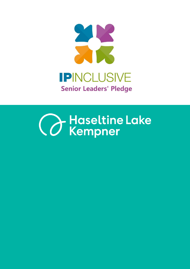

# **Canada Haseltine Lake**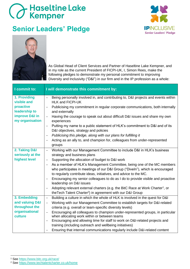#### **Senior Leaders' Pledge**





As Global Head of Client Services and Partner of Haseltine Lake Kempner, and in my role as the current President of FICPI-UK, I, Simon Rees, make the following pledges to demonstrate my personal commitment to improving Diversity and Inclusivity ("D&I") in our firm and in the IP profession as a whole:

| I commit to:                                                                                   | I will demonstrate this commitment by:                                                                                                                                                                                                                                                                                                                                                                                                                                                                                                                                                                                                                                                                                                                      |
|------------------------------------------------------------------------------------------------|-------------------------------------------------------------------------------------------------------------------------------------------------------------------------------------------------------------------------------------------------------------------------------------------------------------------------------------------------------------------------------------------------------------------------------------------------------------------------------------------------------------------------------------------------------------------------------------------------------------------------------------------------------------------------------------------------------------------------------------------------------------|
| 1. Providing<br>visible and<br>proactive<br>leadership to<br>improve D&I in<br>my organisation | Being personally involved in, and contributing to, D&I projects and events within<br>$\equiv$<br><b>HLK and FICPI-UK</b><br>Publicising my commitment in regular corporate communications, both internally<br>$\overline{\phantom{0}}$<br>and externally<br>Having the courage to speak out about difficult D&I issues and share my own<br>experiences<br>Putting my name to a public statement of HLK's commitment to D&I and of its                                                                                                                                                                                                                                                                                                                       |
|                                                                                                | D&I objectives, strategy and policies<br>Publicising this pledge, along with our plans for fulfilling it<br>$\qquad \qquad -$<br>Acting as an ally to, and champion for, colleagues from under-represented<br>groups                                                                                                                                                                                                                                                                                                                                                                                                                                                                                                                                        |
| 2. Taking D&I<br>seriously at the<br>highest level                                             | Working with our Management Committee to include D&I in HLK's business<br>strategy and business plans<br>Supporting the allocation of budget to D&I work<br>$\qquad \qquad -$<br>As a member of HLK's Management Committee, being one of the MC members<br>$\overline{\phantom{0}}$<br>who participates in meetings of our D&I Group ("Diveln"), which is encouraged<br>to regularly contribute ideas, initiatives, and advice to the MC.<br>Encouraging my senior colleagues to do as I do to provide visible and proactive<br>$\overline{\phantom{m}}$<br>leadership on D&I issues<br>Adopting relevant external charters (e.g. the BitC Race at Work Charter <sup>1</sup> , or<br>the Tech Talent Charter <sup>2</sup> ) in agreement with our D&I Group |
| 3. Embedding<br>and valuing D&I<br>throughout the<br>organisational<br>culture                 | Building a culture in which the whole of HLK is involved in the quest for D&I<br>$\qquad \qquad -$<br>Working with our Management Committee to establish targets for D&I-related<br>$\overline{\phantom{0}}$<br>criteria (e.g. overall or team-specific diversity levels)<br>Encouraging all colleagues to champion under-represented groups, in particular<br>when allocating work within or between teams<br>Encouraging and allowing time for staff to work on D&I-related projects and<br>$\overline{\phantom{m}}$<br>training (including outreach and wellbeing initiatives)<br>Ensuring that internal communications regularly include D&I-related content                                                                                            |

<sup>1</sup> See<https://www.bitc.org.uk/race/>

<sup>2</sup> See<https://www.techtalentcharter.co.uk/home>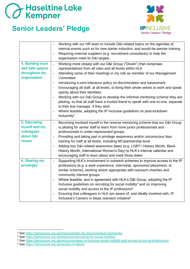#### **Senior Leaders' Pledge**



|                                                                                  | Working with our HR team to include D&I-related topics on the agendas of<br>internal events such as for new starter induction, and would-be partner training<br>Requiring external suppliers (e.g. recruitment consultants) to help the<br>$\qquad \qquad -$<br>organisation meet its D&I targets                                                                                                                                                                                                                                                                                                                                                                                                                                                                                                                                                                       |
|----------------------------------------------------------------------------------|-------------------------------------------------------------------------------------------------------------------------------------------------------------------------------------------------------------------------------------------------------------------------------------------------------------------------------------------------------------------------------------------------------------------------------------------------------------------------------------------------------------------------------------------------------------------------------------------------------------------------------------------------------------------------------------------------------------------------------------------------------------------------------------------------------------------------------------------------------------------------|
| 4. Building trust<br>and safe spaces<br>throughout the<br>organisation           | Working more closely with our D&I Group ("Diveln") that comprises<br>$\qquad \qquad -$<br>representatives from all roles and all levels within HLK<br>Attending some of their meetings in my role as member of our Management<br>$\overline{\phantom{0}}$<br>Committee<br>Introducing a zero-tolerance policy on discrimination and harassment<br>$\qquad \qquad -$<br>Encouraging all staff, at all levels, to bring their whole selves to work and speak<br>$\overline{\phantom{m}}$<br>openly about their identities<br>Working with our D&I Group to develop the informal mentoring scheme they are<br>piloting, so that all staff have a trusted friend to speak with one-to-one, separate<br>to their line manager, if they wish<br>Where feasible, adopting the IP Inclusive guidelines on post-lockdown<br>$\overline{\phantom{m}}$<br>inclusivity <sup>3</sup> |
| <b>5. Educating</b><br>myself and my<br>colleagues<br>about D&I<br><b>issues</b> | Becoming involved myself in the reverse mentoring scheme that our D&I Group<br>$\qquad \qquad -$<br>is piloting for senior staff to learn from more junior professionals and<br>professionals in under-represented groups<br>Providing and taking part in privilege awareness and/or unconscious bias<br>training for staff at all levels, including MC/partnership level<br>Adding key D&I-related awareness dates (e.g. LGBT+ History Month, Black<br>History Month, International Women's Day) to HLK's internal calendar and<br>encouraging staff to learn about and mark those dates                                                                                                                                                                                                                                                                               |
| <b>6. Sharing my</b><br>privileges                                               | Supporting HLK's involvement in outreach schemes to improve access to the IP<br>$\qquad \qquad -$<br>professions (e.g. a work experience, internship, sponsored placement, or<br>similar scheme), working where appropriate with outreach charities and<br>community interest groups<br>Where feasible, and in agreement with HLK's D&I Group, adopting the IP<br>Inclusive guidelines on recruiting for social mobility <sup>4</sup> and on improving<br>social mobility and access to the IP professions <sup>5</sup><br>Ensuring that colleagues in HLK are aware of, and ideally involved with, IP<br>$\overline{\phantom{m}}$<br>Inclusive's Careers in Ideas outreach initiative <sup>6</sup>                                                                                                                                                                     |

- <sup>4</sup> See<https://ipinclusive.org.uk/resources/recruiting-for-social-mobility/>
- <sup>5</sup> See<https://ipinclusive.org.uk/resources/steps-to-improve-social-mobility-and-access-to-the-ip-professions/>
- <sup>6</sup> See<https://ipinclusive.org.uk/careers-in-ideas/>

<sup>3</sup> See<https://ipinclusive.org.uk/resources/tips-for-post-lockdown-inclusivity/>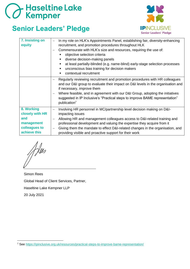#### **Senior Leaders' Pledge**



| 7. Insisting on<br>equity                                                           | In my role on HLK's Appointments Panel, establishing fair, diversity-enhancing<br>$\overline{\phantom{0}}$<br>recruitment, and promotion procedures throughout HLK<br>Commensurate with HLK's size and resources, requiring the use of:<br>objective selection criteria<br>diverse decision-making panels<br>п<br>at least partially-blinded (e.g. name-blind) early-stage selection processes<br>п<br>unconscious bias training for decision makers<br>٠<br>contextual recruitment<br>■ |
|-------------------------------------------------------------------------------------|------------------------------------------------------------------------------------------------------------------------------------------------------------------------------------------------------------------------------------------------------------------------------------------------------------------------------------------------------------------------------------------------------------------------------------------------------------------------------------------|
|                                                                                     | Regularly reviewing recruitment and promotion procedures with HR colleagues<br>and our D&I group to evaluate their impact on D&I levels in the organisation and<br>if necessary, improve them<br>Where feasible, and in agreement with our D&I Group, adopting the initiatives<br>$\overline{\phantom{0}}$<br>suggested in IP Inclusive's "Practical steps to improve BAME representation"<br>publication <sup>7</sup>                                                                   |
| 8. Working<br>closely with HR<br>and<br>management<br>colleagues to<br>achieve this | Involving HR personnel in MC/partnership level decision making on D&I-<br>impacting issues<br>Allowing HR and management colleagues access to D&I-related training and<br>$\overline{\phantom{0}}$<br>professional development and valuing the expertise they acquire from it<br>Giving them the mandate to effect D&I-related changes in the organisation, and<br>$\overline{\phantom{m}}$<br>providing visible and proactive support for their work                                    |

Adees

Simon Rees Global Head of Client Services, Partner, Haseltine Lake Kempner LLP 20 July 2021

<sup>7</sup> See<https://ipinclusive.org.uk/resources/practical-steps-to-improve-bame-representation/>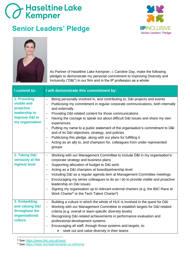#### **Senior Leaders' Pledge**





As Partner of Haseltine Lake Kempner, I, Caroline Day, make the following pledges to demonstrate my personal commitment to improving Diversity and Inclusivity ("D&I") in our firm and in the IP profession as a whole:

| I commit to:                                                                                   | I will demonstrate this commitment by:                                                                                                                                                                                                                                                                                                                                                                                                                                                                                                                                                                                                                                                                              |
|------------------------------------------------------------------------------------------------|---------------------------------------------------------------------------------------------------------------------------------------------------------------------------------------------------------------------------------------------------------------------------------------------------------------------------------------------------------------------------------------------------------------------------------------------------------------------------------------------------------------------------------------------------------------------------------------------------------------------------------------------------------------------------------------------------------------------|
| 1. Providing<br>visible and<br>proactive<br>leadership to<br>improve D&I in<br>my organisation | Being personally involved in, and contributing to, D&I projects and events<br>$\overline{\phantom{0}}$<br>Publicising my commitment in regular corporate communications, both internally<br>$\qquad \qquad -$<br>and externally<br>Providing D&I-related content for those communications<br>Having the courage to speak out about difficult D&I issues and share my own<br>experiences<br>Putting my name to a public statement of the organisation's commitment to D&I<br>$\overline{\phantom{0}}$<br>and of its D&I objectives, strategy, and policies<br>Publicising this pledge, along with our plans for fulfilling it<br>Acting as an ally to, and champion for, colleagues from under-represented<br>groups |
| 2. Taking D&I<br>seriously at the<br>highest level                                             | Working with our Management Committee to include D&I in my organisation's<br>$\qquad \qquad -$<br>corporate strategy and business plans<br>Supporting allocation of budget to D&I work<br>$\qquad \qquad -$<br>Acting as a D&I champion at board/partnership level<br>$\overline{\phantom{0}}$<br>Including D&I as a regular agenda item at Management Committee meetings<br>$\overline{\phantom{0}}$<br>Encouraging my senior colleagues to do as I do to provide visible and proactive<br>leadership on D&I issues<br>Signing my organisation up to relevant external charters (e.g. the BitC Race at<br>Work Charter <sup>8</sup> or the Tech Talent Charter <sup>9</sup> )                                      |
| 3. Embedding<br>and valuing D&I<br>throughout the<br>organisational<br>culture                 | Building a culture in which the whole of HLK is involved in the quest for D&I<br>$\overline{\phantom{0}}$<br>Working with our Management Committee to establish targets for D&I-related<br>$\overline{\phantom{0}}$<br>criteria (e.g. overall or team-specific diversity levels)<br>Recognising D&I-related achievements in performance evaluation and<br>$\overline{\phantom{0}}$<br>professional development systems<br>Encouraging all staff, through those systems and targets, to:<br>$\overline{\phantom{0}}$<br>seek out and value diversity in their teams                                                                                                                                                  |

<sup>8</sup> See<https://www.bitc.org.uk/race/>

<sup>9</sup> See<https://www.techtalentcharter.co.uk/home>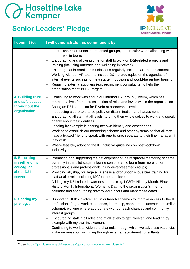### **Senior Leaders' Pledge**



| I commit to:                                                                     | I will demonstrate this commitment by:                                                                                                                                                                                                                                                                                                                                                                                                                                                                                                                                                                                                                                                                                                                                                                                                                                                                                                              |
|----------------------------------------------------------------------------------|-----------------------------------------------------------------------------------------------------------------------------------------------------------------------------------------------------------------------------------------------------------------------------------------------------------------------------------------------------------------------------------------------------------------------------------------------------------------------------------------------------------------------------------------------------------------------------------------------------------------------------------------------------------------------------------------------------------------------------------------------------------------------------------------------------------------------------------------------------------------------------------------------------------------------------------------------------|
|                                                                                  | champion under-represented groups, in particular when allocating work<br>$\bullet$<br>within teams<br>Encouraging and allowing time for staff to work on D&I-related projects and<br>$\qquad \qquad -$<br>training (including outreach and wellbeing initiatives)<br>Ensuring that internal communications regularly include D&I-related content<br>$\overline{\phantom{0}}$<br>Working with our HR team to include D&I-related topics on the agendas of<br>internal events such as for new starter induction and would-be partner training<br>Requiring external suppliers (e.g. recruitment consultants) to help the<br>organisation meet its D&I targets                                                                                                                                                                                                                                                                                         |
| 4. Building trust<br>and safe spaces<br>throughout the<br>organisation           | Continuing to work with and in our internal D&I group (Diveln), which has<br>$-$<br>representatives from a cross section of roles and levels within the organisation<br>Acting as D&I champion for Diveln at partnership level<br>$\qquad \qquad -$<br>Introducing a zero-tolerance policy on discrimination and harassment<br>$\overline{\phantom{0}}$<br>Encouraging all staff, at all levels, to bring their whole selves to work and speak<br>$\overline{\phantom{0}}$<br>openly about their identities<br>Leading by example in sharing my own identity and experiences<br>$\overline{\phantom{0}}$<br>Working to establish our mentoring scheme and other systems so that all staff<br>$\overline{\phantom{m}}$<br>have a trusted friend to speak with one-to-one, separate to their line manager, if<br>they wish<br>Where feasible, adopting the IP Inclusive guidelines on post-lockdown<br>$\qquad \qquad -$<br>inclusivity <sup>10</sup> |
| <b>5. Educating</b><br>myself and my<br>colleagues<br>about D&I<br><b>issues</b> | Promoting and supporting the development of the reciprocal mentoring scheme<br>$\qquad \qquad -$<br>currently in the pilot stage, allowing senior staff to learn from more junior<br>professionals and professionals in under-represented groups;<br>Providing allyship, privilege awareness and/or unconscious bias training for<br>$\qquad \qquad -$<br>staff at all levels, including MC/partnership level<br>Adding key D&I-related awareness dates (e.g. LGBT+ History Month, Black<br>History Month, International Women's Day) to the organisation's internal<br>calendar and encouraging staff to learn about and mark those dates                                                                                                                                                                                                                                                                                                          |
| <b>6. Sharing my</b><br>privileges                                               | Supporting HLK's involvement in outreach schemes to improve access to the IP<br>professions (e.g. a work experience, internship, sponsored placement or similar<br>scheme), working where appropriate with outreach charities and community<br>interest groups<br>Encouraging staff in all roles and at all levels to get involved, and leading by<br>example with my own involvement<br>Continuing to work to widen the channels through which we advertise vacancies<br>in the organisation, including through external recruitment consultants                                                                                                                                                                                                                                                                                                                                                                                                   |

<sup>10</sup> See<https://ipinclusive.org.uk/resources/tips-for-post-lockdown-inclusivity/>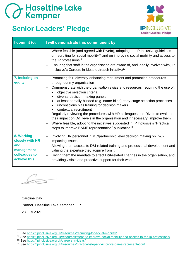### **BED Haseltine Lake**

#### **Senior Leaders' Pledge**



| I commit to:                                                                        | I will demonstrate this commitment by:                                                                                                                                                                                                                                                                                                                                                                                                                                                                                                                                                                                                                                                                                                                                                        |
|-------------------------------------------------------------------------------------|-----------------------------------------------------------------------------------------------------------------------------------------------------------------------------------------------------------------------------------------------------------------------------------------------------------------------------------------------------------------------------------------------------------------------------------------------------------------------------------------------------------------------------------------------------------------------------------------------------------------------------------------------------------------------------------------------------------------------------------------------------------------------------------------------|
|                                                                                     | Where feasible (and agreed with Diveln), adopting the IP Inclusive guidelines<br>on recruiting for social mobility <sup>11</sup> and on improving social mobility and access to<br>the IP professions <sup>12</sup><br>Ensuring that staff in the organisation are aware of, and ideally involved with, IP<br>$\qquad \qquad \longleftarrow$<br>Inclusive's Careers in Ideas outreach initiative <sup>13</sup>                                                                                                                                                                                                                                                                                                                                                                                |
| 7. Insisting on<br>equity                                                           | Promoting fair, diversity-enhancing recruitment and promotion procedures<br>throughout my organisation<br>Commensurate with the organisation's size and resources, requiring the use of:<br>$\qquad \qquad -$<br>objective selection criteria<br>diverse decision-making panels<br>at least partially-blinded (e.g. name-blind) early-stage selection processes<br>unconscious bias training for decision makers<br>contextual recruitment<br>Regularly reviewing the procedures with HR colleagues and Diveln to evaluate<br>their impact on D&I levels in the organisation and if necessary, improve them<br>Where feasible, adopting the initiatives suggested in IP Inclusive's "Practical<br>$\overline{\phantom{0}}$<br>steps to improve BAME representation" publication <sup>14</sup> |
| 8. Working<br>closely with HR<br>and<br>management<br>colleagues to<br>achieve this | Involving HR personnel in MC/partnership level decision making on D&I-<br>$\qquad \qquad -$<br>impacting issues<br>Allowing them access to D&I-related training and professional development and<br>valuing the expertise they acquire from it<br>Giving them the mandate to effect D&I-related changes in the organisation, and<br>$\overline{\phantom{0}}$<br>providing visible and proactive support for their work                                                                                                                                                                                                                                                                                                                                                                        |

Caroline Day Partner, Haseltine Lake Kempner LLP 28 July 2021

<sup>11</sup> See<https://ipinclusive.org.uk/resources/recruiting-for-social-mobility/>

<sup>12</sup> See<https://ipinclusive.org.uk/resources/steps-to-improve-social-mobility-and-access-to-the-ip-professions/>

<sup>13</sup> See<https://ipinclusive.org.uk/careers-in-ideas/>

<sup>14</sup> See<https://ipinclusive.org.uk/resources/practical-steps-to-improve-bame-representation/>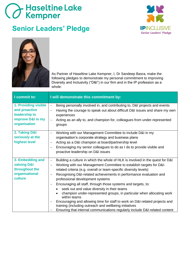#### **Senior Leaders' Pledge**





As Partner of Haseltine Lake Kempner, I, Dr Sandeep Basra, make the following pledges to demonstrate my personal commitment to improving Diversity and Inclusivity ("D&I") in our firm and in the IP profession as a whole:

| I commit to:                                                                                | I will demonstrate this commitment by:                                                                                                                                                                                                                                                                                                                                                                                                                                                                                                                                                                                                                                                                                                                                                                                                            |
|---------------------------------------------------------------------------------------------|---------------------------------------------------------------------------------------------------------------------------------------------------------------------------------------------------------------------------------------------------------------------------------------------------------------------------------------------------------------------------------------------------------------------------------------------------------------------------------------------------------------------------------------------------------------------------------------------------------------------------------------------------------------------------------------------------------------------------------------------------------------------------------------------------------------------------------------------------|
| 1. Providing visible<br>and proactive<br>leadership to<br>improve D&I in my<br>organisation | Being personally involved in, and contributing to, D&I projects and events<br>$\qquad \qquad -$<br>Having the courage to speak out about difficult D&I issues and share my own<br>experiences<br>Acting as an ally to, and champion for, colleagues from under-represented<br>$\overline{\phantom{0}}$<br>groups                                                                                                                                                                                                                                                                                                                                                                                                                                                                                                                                  |
| 2. Taking D&I<br>seriously at the<br>highest level                                          | Working with our Management Committee to include D&I in my<br>$\qquad \qquad -$<br>organisation's corporate strategy and business plans<br>Acting as a D&I champion at board/partnership level<br>$\overline{\phantom{0}}$<br>Encouraging my senior colleagues to do as I do to provide visible and<br>proactive leadership on D&I issues                                                                                                                                                                                                                                                                                                                                                                                                                                                                                                         |
| 3. Embedding and<br><b>valuing D&amp;I</b><br>throughout the<br>organisational<br>culture   | Building a culture in which the whole of HLK is involved in the quest for D&I<br>$\overline{\phantom{0}}$<br>Working with our Management Committee to establish targets for D&I-<br>$\overline{\phantom{0}}$<br>related criteria (e.g. overall or team-specific diversity levels)<br>Recognising D&I-related achievements in performance evaluation and<br>professional development systems<br>Encouraging all staff, through those systems and targets, to:<br>seek out and value diversity in their teams<br>champion under-represented groups, in particular when allocating work<br>within teams<br>Encouraging and allowing time for staff to work on D&I-related projects and<br>$\qquad \qquad -$<br>training (including outreach and wellbeing initiatives<br>Ensuring that internal communications regularly include D&I-related content |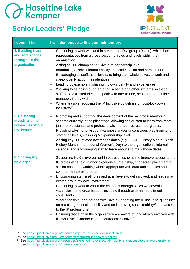#### **Senior Leaders' Pledge**



| I commit to:                                                               | I will demonstrate this commitment by:                                                                                                                                                                                                                                                                                                                                                                                                                                                                                                                                                                                                                                                                                                                                                                                                                                                                                                                                                                                                 |
|----------------------------------------------------------------------------|----------------------------------------------------------------------------------------------------------------------------------------------------------------------------------------------------------------------------------------------------------------------------------------------------------------------------------------------------------------------------------------------------------------------------------------------------------------------------------------------------------------------------------------------------------------------------------------------------------------------------------------------------------------------------------------------------------------------------------------------------------------------------------------------------------------------------------------------------------------------------------------------------------------------------------------------------------------------------------------------------------------------------------------|
| 4. Building trust<br>and safe spaces<br>throughout the<br>organisation     | Continuing to work with and in our internal D&I group (Diveln), which has<br>$\qquad \qquad -$<br>representatives from a cross section of roles and levels within the<br>organisation<br>Acting as D&I champion for Diveln at partnership level<br>$\overline{\phantom{0}}$<br>Introducing a zero-tolerance policy on discrimination and harassment<br>$\overline{\phantom{m}}$<br>Encouraging all staff, at all levels, to bring their whole selves to work and<br>$\overline{\phantom{m}}$<br>speak openly about their identities<br>Leading by example in sharing my own identity and experiences<br>$\qquad \qquad -$<br>Working to establish our mentoring scheme and other systems so that all<br>$\overline{\phantom{0}}$<br>staff have a trusted friend to speak with one-to-one, separate to their line<br>manager, if they wish<br>Where feasible, adopting the IP Inclusive guidelines on post-lockdown<br>inclusivity <sup>15</sup>                                                                                        |
| 5. Educating<br>myself and my<br>colleagues about<br><b>D&amp;I issues</b> | Promoting and supporting the development of the reciprocal mentoring<br>$\overline{\phantom{0}}$<br>scheme currently in the pilot stage, allowing senior staff to learn from more<br>junior professionals and professionals in under-represented groups;<br>Providing allyship, privilege awareness and/or unconscious bias training for<br>$\overline{\phantom{m}}$<br>staff at all levels, including MC/partnership level<br>Adding key D&I-related awareness dates (e.g. LGBT+ History Month, Black<br>$\qquad \qquad$<br>History Month, International Women's Day) to the organisation's internal<br>calendar and encouraging staff to learn about and mark those dates                                                                                                                                                                                                                                                                                                                                                            |
| <b>6. Sharing my</b><br>privileges                                         | Supporting HLK's involvement in outreach schemes to improve access to the<br>$\qquad \qquad -$<br>IP professions (e.g. a work experience, internship, sponsored placement or<br>similar scheme), working where appropriate with outreach charities and<br>community interest groups<br>Encouraging staff in all roles and at all levels to get involved, and leading by<br>$\overline{\phantom{m}}$<br>example with my own involvement<br>Continuing to work to widen the channels through which we advertise<br>$\qquad \qquad -$<br>vacancies in the organisation, including through external recruitment<br>consultants<br>Where feasible (and agreed with Diveln), adopting the IP Inclusive guidelines<br>$\overline{\phantom{m}}$<br>on recruiting for social mobility and on improving social mobility <sup>16</sup> and access<br>to the IP professions <sup>17</sup><br>Ensuring that staff in the organisation are aware of, and ideally involved with,<br>IP Inclusive's Careers in Ideas outreach initiative <sup>18</sup> |

<sup>15</sup> See<https://ipinclusive.org.uk/resources/tips-for-post-lockdown-inclusivity/>

- <sup>16</sup> See<https://ipinclusive.org.uk/resources/recruiting-for-social-mobility/>
- <sup>17</sup> See<https://ipinclusive.org.uk/resources/steps-to-improve-social-mobility-and-access-to-the-ip-professions/>
- <sup>18</sup> See<https://ipinclusive.org.uk/careers-in-ideas/>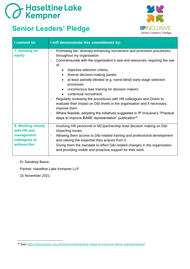#### **Senior Leaders' Pledge**



| I commit to:                                                                     | I will demonstrate this commitment by:                                                                                                                                                                                                                                                                                                                                                                                                                                                                                                                                                                                                                                                                                                                |
|----------------------------------------------------------------------------------|-------------------------------------------------------------------------------------------------------------------------------------------------------------------------------------------------------------------------------------------------------------------------------------------------------------------------------------------------------------------------------------------------------------------------------------------------------------------------------------------------------------------------------------------------------------------------------------------------------------------------------------------------------------------------------------------------------------------------------------------------------|
| 7. Insisting on<br>equity                                                        | Promoting fair, diversity-enhancing recruitment and promotion procedures<br>throughout my organisation<br>Commensurate with the organisation's size and resources, requiring the use<br>of:<br>objective selection criteria<br>diverse decision-making panels<br>at least partially-blinded (e.g. name-blind) early-stage selection<br>processes<br>unconscious bias training for decision makers<br>contextual recruitment<br>Regularly reviewing the procedures with HR colleagues and Diveln to<br>evaluate their impact on D&I levels in the organisation and if necessary,<br>improve them<br>Where feasible, adopting the initiatives suggested in IP Inclusive's "Practical<br>steps to improve BAME representation" publication <sup>19</sup> |
| 8. Working closely<br>with HR and<br>management<br>colleagues to<br>achieve this | Involving HR personnel in MC/partnership level decision making on D&I-<br>$-$<br>impacting issues<br>Allowing them access to D&I-related training and professional development<br>$\overline{\phantom{0}}$<br>and valuing the expertise they acquire from it<br>Giving them the mandate to effect D&I-related changes in the organisation,<br>$\qquad \qquad -$<br>and providing visible and proactive support for their work                                                                                                                                                                                                                                                                                                                         |

#### Dr Sandeep Basra

Partner, Haseltine Lake Kempner LLP

15 November 2021

<sup>19</sup> See<https://ipinclusive.org.uk/resources/practical-steps-to-improve-bame-representation/>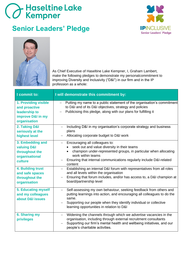#### **Senior Leaders' Pledge**





As Chief Executive of Haseltine Lake Kempner, I, Graham Lambert, make the following pledges to demonstrate my personalcommitment to improving Diversity and Inclusivity ("D&I") in our firm and in the IP profession as a whole:

| I commit to:                                                                                                                                                        | I will demonstrate this commitment by:                                                                                                                                                                                                                                                                                                                                                                                                                                                                                                                               |
|---------------------------------------------------------------------------------------------------------------------------------------------------------------------|----------------------------------------------------------------------------------------------------------------------------------------------------------------------------------------------------------------------------------------------------------------------------------------------------------------------------------------------------------------------------------------------------------------------------------------------------------------------------------------------------------------------------------------------------------------------|
| 1. Providing visible<br>and proactive<br>leadership to<br>improve D&I in my<br>organisation                                                                         | Putting my name to a public statement of the organisation's commitment<br>to D&I and of its D&I objectives, strategy and policies<br>Publicising this pledge, along with our plans for fulfilling it                                                                                                                                                                                                                                                                                                                                                                 |
| 2. Taking D&I<br>seriously at the<br>highest level                                                                                                                  | Including D&I in my organisation's corporate strategy and business<br>plans<br>Allocating corporate budget to D&I work                                                                                                                                                                                                                                                                                                                                                                                                                                               |
| 3. Embedding and<br><b>valuing D&amp;I</b><br>throughout the<br>organisational<br>culture<br>4. Building trust<br>and safe spaces<br>throughout the<br>organisation | Encouraging all colleagues to:<br>$\overline{\phantom{0}}$<br>seek out and value diversity in their teams<br>champion under-represented groups, in particular when allocating<br>work within teams<br>Ensuring that internal communications regularly include D&I-related<br>$\overline{\phantom{0}}$<br>content<br>Establishing an internal D&I forum with representatives from all roles<br>$-$<br>and all levels within the organisation<br>Ensuring that forum includes, and/or has access to, a D&I champion at<br>$\qquad \qquad -$<br>board/partnership level |
| 5. Educating myself<br>and my colleagues<br>about D&I issues                                                                                                        | Self-assessing my own behaviour, seeking feedback from others and<br>putting learnings into action, and encouraging all colleagues to do the<br>same.<br>Supporting our people when they identify individual or collective<br>learning opportunities in relation to D&I                                                                                                                                                                                                                                                                                              |
| 6. Sharing my<br>privileges                                                                                                                                         | Widening the channels through which we advertise vacancies in the<br>organisation, including through external recruitment consultants<br>Supporting our firm's mental health and wellbeing initiatives, and our<br>people's charitable activities.                                                                                                                                                                                                                                                                                                                   |